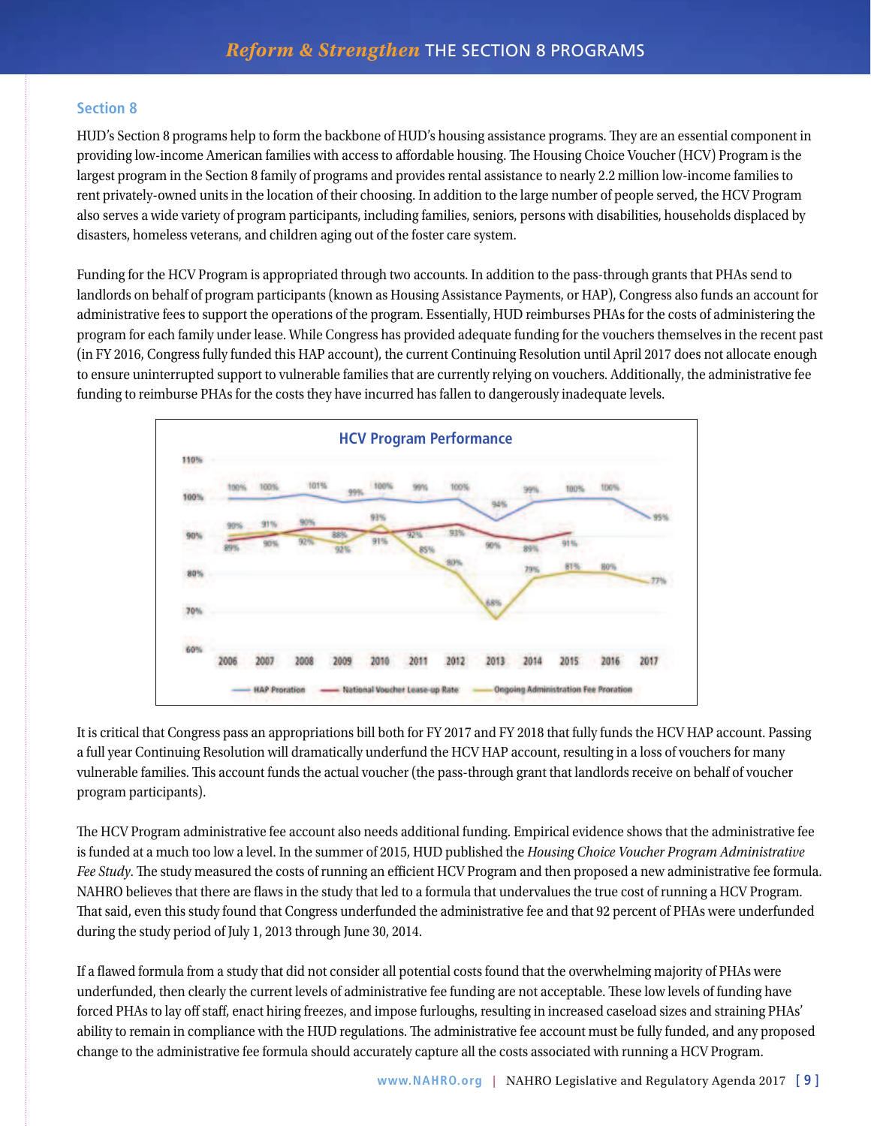## **Section 8**

HUD's Section 8 programs help to form the backbone of HUD's housing assistance programs. They are an essential component in providing low-income American families with access to affordable housing. The Housing Choice Voucher (HCV) Program is the largest program in the Section 8 family of programs and provides rental assistance to nearly 2.2 million low-income families to rent privately-owned units in the location of their choosing. In addition to the large number of people served, the HCV Program also serves a wide variety of program participants, including families, seniors, persons with disabilities, households displaced by disasters, homeless veterans, and children aging out of the foster care system.

Funding for the HCV Program is appropriated through two accounts. In addition to the pass-through grants that PHAs send to landlords on behalf of program participants (known as Housing Assistance Payments, or HAP), Congress also funds an account for administrative fees to support the operations of the program. Essentially, HUD reimburses PHAs for the costs of administering the program for each family under lease. While Congress has provided adequate funding for the vouchers themselves in the recent past (in FY 2016, Congress fully funded this HAP account), the current Continuing Resolution until April 2017 does not allocate enough to ensure uninterrupted support to vulnerable families that are currently relying on vouchers. Additionally, the administrative fee funding to reimburse PHAs for the costs they have incurred has fallen to dangerously inadequate levels.



It is critical that Congress pass an appropriations bill both for FY 2017 and FY 2018 that fully funds the HCV HAP account. Passing a full year Continuing Resolution will dramatically underfund the HCV HAP account, resulting in a loss of vouchers for many vulnerable families. This account funds the actual voucher (the pass-through grant that landlords receive on behalf of voucher program participants).

The HCV Program administrative fee account also needs additional funding. Empirical evidence shows that the administrative fee is funded at a much too low a level. In the summer of 2015, HUD published the *Housing Choice Voucher Program Administrative Fee Study*. The study measured the costs of running an efficient HCV Program and then proposed a new administrative fee formula. NAHRO believes that there are flaws in the study that led to a formula that undervalues the true cost of running a HCV Program. That said, even this study found that Congress underfunded the administrative fee and that 92 percent of PHAs were underfunded during the study period of July 1, 2013 through June 30, 2014.

If a flawed formula from a study that did not consider all potential costs found that the overwhelming majority of PHAs were underfunded, then clearly the current levels of administrative fee funding are not acceptable. These low levels of funding have forced PHAs to lay off staff, enact hiring freezes, and impose furloughs, resulting in increased caseload sizes and straining PHAs' ability to remain in compliance with the HUD regulations. The administrative fee account must be fully funded, and any proposed change to the administrative fee formula should accurately capture all the costs associated with running a HCV Program.